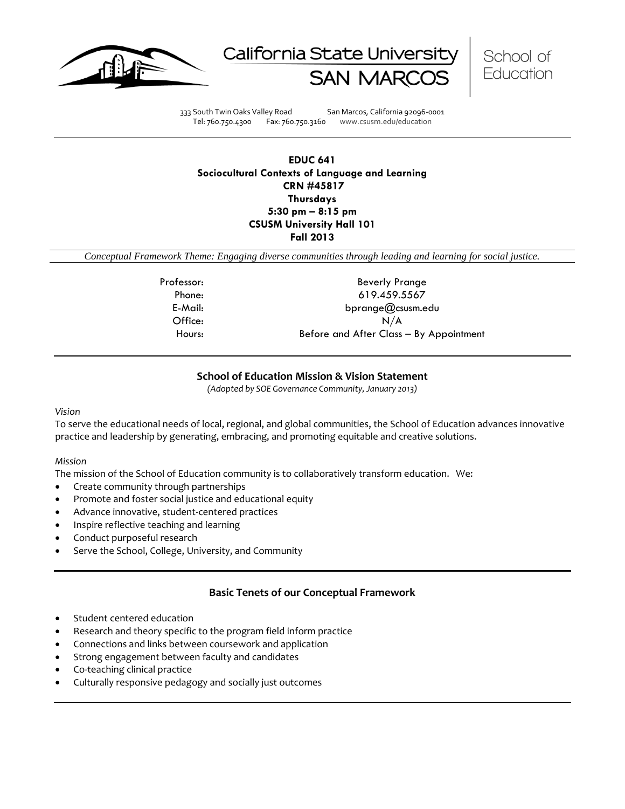





333 South Twin Oaks Valley Road San Marcos, California 92096-0001 Tel: 760.750.4300 Fax: 760.750.3160 www.csusm.edu/education

**EDUC 641 Sociocultural Contexts of Language and Learning CRN #45817 Thursdays 5:30 pm – 8:15 pm CSUSM University Hall 101 Fall 2013** 

*Conceptual Framework Theme: Engaging diverse communities through leading and learning for social justice.*

Professor: Beverly Prange Phone: 619.459.5567 E-Mail: bprange@csusm.edu Office: N/A Hours: Before and After Class – By Appointment

## **School of Education Mission & Vision Statement**

*(Adopted by SOE Governance Community, January 2013)*

#### *Vision*

To serve the educational needs of local, regional, and global communities, the School of Education advances innovative practice and leadership by generating, embracing, and promoting equitable and creative solutions.

#### *Mission*

The mission of the School of Education community is to collaboratively transform education. We:

- Create community through partnerships
- Promote and foster social justice and educational equity
- Advance innovative, student-centered practices
- Inspire reflective teaching and learning
- Conduct purposeful research
- Serve the School, College, University, and Community

# **Basic Tenets of our Conceptual Framework**

- Student centered education
- Research and theory specific to the program field inform practice
- Connections and links between coursework and application
- Strong engagement between faculty and candidates
- Co-teaching clinical practice
- Culturally responsive pedagogy and socially just outcomes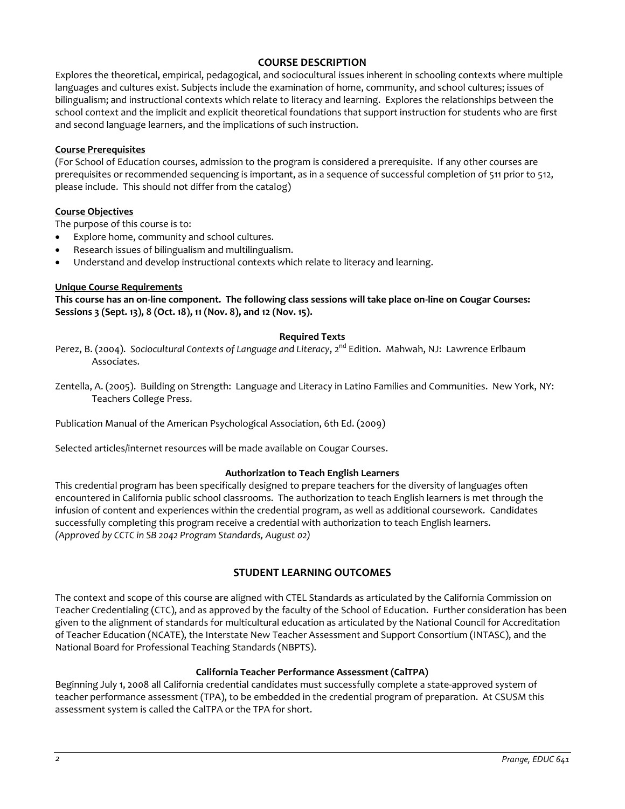# **COURSE DESCRIPTION**

Explores the theoretical, empirical, pedagogical, and sociocultural issues inherent in schooling contexts where multiple languages and cultures exist. Subjects include the examination of home, community, and school cultures; issues of bilingualism; and instructional contexts which relate to literacy and learning. Explores the relationships between the school context and the implicit and explicit theoretical foundations that support instruction for students who are first and second language learners, and the implications of such instruction.

## **Course Prerequisites**

(For School of Education courses, admission to the program is considered a prerequisite. If any other courses are prerequisites or recommended sequencing is important, as in a sequence of successful completion of 511 prior to 512, please include. This should not differ from the catalog)

## **Course Objectives**

The purpose of this course is to:

- Explore home, community and school cultures.
- Research issues of bilingualism and multilingualism.
- Understand and develop instructional contexts which relate to literacy and learning.

# **Unique Course Requirements**

**This course has an on-line component. The following class sessions will take place on-line on Cougar Courses: Sessions 3 (Sept. 13), 8 (Oct. 18), 11 (Nov. 8), and 12 (Nov. 15).**

## **Required Texts**

Perez, B. (2004). *Sociocultural Contexts of Language and Literacy*, 2<sup>nd</sup> Edition. Mahwah, NJ: Lawrence Erlbaum Associates.

Zentella, A. (2005). Building on Strength: Language and Literacy in Latino Families and Communities. New York, NY: Teachers College Press.

Publication Manual of the American Psychological Association, 6th Ed. (2009)

Selected articles/internet resources will be made available on Cougar Courses.

## **Authorization to Teach English Learners**

This credential program has been specifically designed to prepare teachers for the diversity of languages often encountered in California public school classrooms. The authorization to teach English learners is met through the infusion of content and experiences within the credential program, as well as additional coursework. Candidates successfully completing this program receive a credential with authorization to teach English learners. *(Approved by CCTC in SB 2042 Program Standards, August 02)*

# **STUDENT LEARNING OUTCOMES**

The context and scope of this course are aligned with CTEL Standards as articulated by the California Commission on Teacher Credentialing (CTC), and as approved by the faculty of the School of Education. Further consideration has been given to the alignment of standards for multicultural education as articulated by the National Council for Accreditation of Teacher Education (NCATE), the Interstate New Teacher Assessment and Support Consortium (INTASC), and the National Board for Professional Teaching Standards (NBPTS).

## **California Teacher Performance Assessment (CalTPA)**

Beginning July 1, 2008 all California credential candidates must successfully complete a state-approved system of teacher performance assessment (TPA), to be embedded in the credential program of preparation. At CSUSM this assessment system is called the CalTPA or the TPA for short.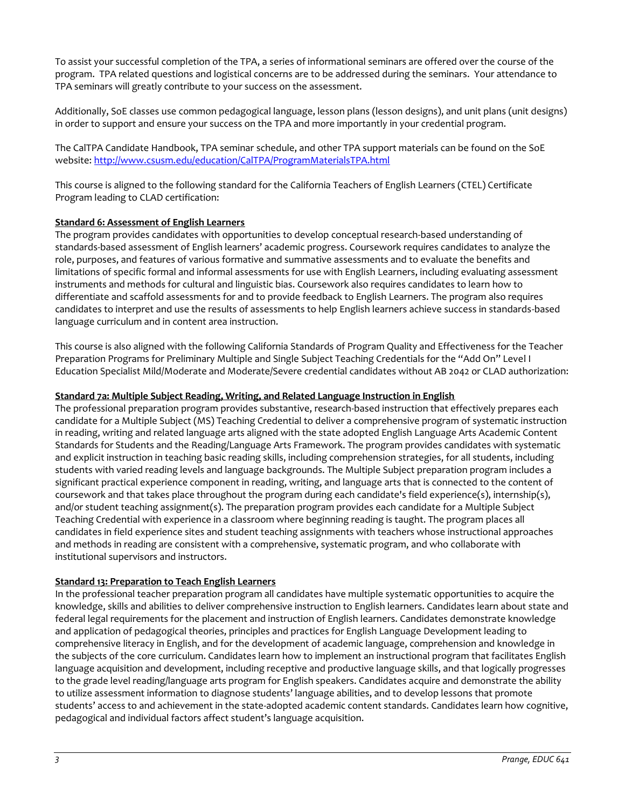To assist your successful completion of the TPA, a series of informational seminars are offered over the course of the program. TPA related questions and logistical concerns are to be addressed during the seminars. Your attendance to TPA seminars will greatly contribute to your success on the assessment.

Additionally, SoE classes use common pedagogical language, lesson plans (lesson designs), and unit plans (unit designs) in order to support and ensure your success on the TPA and more importantly in your credential program.

The CalTPA Candidate Handbook, TPA seminar schedule, and other TPA support materials can be found on the SoE website: <http://www.csusm.edu/education/CalTPA/ProgramMaterialsTPA.html>

This course is aligned to the following standard for the California Teachers of English Learners (CTEL) Certificate Program leading to CLAD certification:

## **Standard 6: Assessment of English Learners**

The program provides candidates with opportunities to develop conceptual research-based understanding of standards-based assessment of English learners' academic progress. Coursework requires candidates to analyze the role, purposes, and features of various formative and summative assessments and to evaluate the benefits and limitations of specific formal and informal assessments for use with English Learners, including evaluating assessment instruments and methods for cultural and linguistic bias. Coursework also requires candidates to learn how to differentiate and scaffold assessments for and to provide feedback to English Learners. The program also requires candidates to interpret and use the results of assessments to help English learners achieve success in standards-based language curriculum and in content area instruction.

This course is also aligned with the following California Standards of Program Quality and Effectiveness for the Teacher Preparation Programs for Preliminary Multiple and Single Subject Teaching Credentials for the "Add On" Level I Education Specialist Mild/Moderate and Moderate/Severe credential candidates without AB 2042 or CLAD authorization:

## **Standard 7a: Multiple Subject Reading, Writing, and Related Language Instruction in English**

The professional preparation program provides substantive, research-based instruction that effectively prepares each candidate for a Multiple Subject (MS) Teaching Credential to deliver a comprehensive program of systematic instruction in reading, writing and related language arts aligned with the state adopted English Language Arts Academic Content Standards for Students and the Reading/Language Arts Framework. The program provides candidates with systematic and explicit instruction in teaching basic reading skills, including comprehension strategies, for all students, including students with varied reading levels and language backgrounds. The Multiple Subject preparation program includes a significant practical experience component in reading, writing, and language arts that is connected to the content of coursework and that takes place throughout the program during each candidate's field experience(s), internship(s), and/or student teaching assignment(s). The preparation program provides each candidate for a Multiple Subject Teaching Credential with experience in a classroom where beginning reading is taught. The program places all candidates in field experience sites and student teaching assignments with teachers whose instructional approaches and methods in reading are consistent with a comprehensive, systematic program, and who collaborate with institutional supervisors and instructors.

#### **Standard 13: Preparation to Teach English Learners**

In the professional teacher preparation program all candidates have multiple systematic opportunities to acquire the knowledge, skills and abilities to deliver comprehensive instruction to English learners. Candidates learn about state and federal legal requirements for the placement and instruction of English learners. Candidates demonstrate knowledge and application of pedagogical theories, principles and practices for English Language Development leading to comprehensive literacy in English, and for the development of academic language, comprehension and knowledge in the subjects of the core curriculum. Candidates learn how to implement an instructional program that facilitates English language acquisition and development, including receptive and productive language skills, and that logically progresses to the grade level reading/language arts program for English speakers. Candidates acquire and demonstrate the ability to utilize assessment information to diagnose students' language abilities, and to develop lessons that promote students' access to and achievement in the state-adopted academic content standards. Candidates learn how cognitive, pedagogical and individual factors affect student's language acquisition.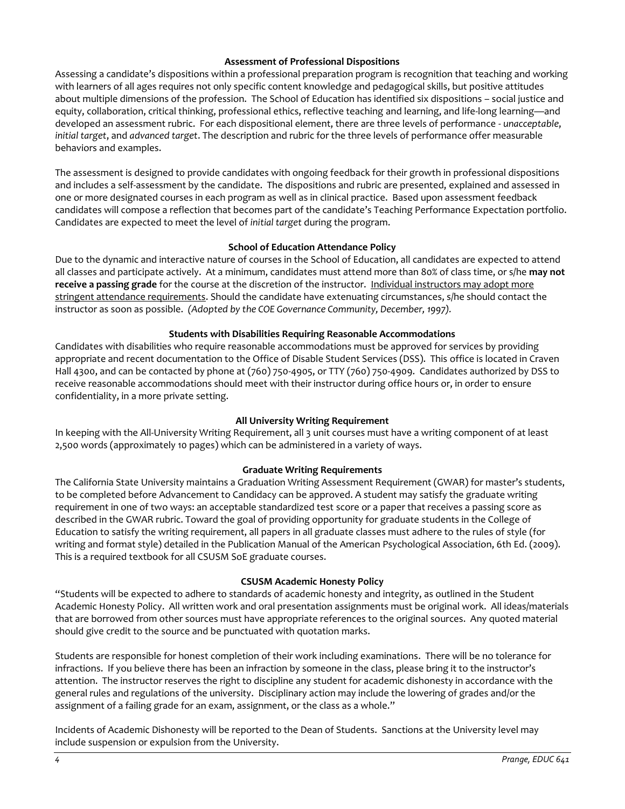## **Assessment of Professional Dispositions**

Assessing a candidate's dispositions within a professional preparation program is recognition that teaching and working with learners of all ages requires not only specific content knowledge and pedagogical skills, but positive attitudes about multiple dimensions of the profession. The School of Education has identified six dispositions – social justice and equity, collaboration, critical thinking, professional ethics, reflective teaching and learning, and life-long learning—and developed an assessment rubric. For each dispositional element, there are three levels of performance - *unacceptable*, *initial target*, and *advanced target*. The description and rubric for the three levels of performance offer measurable behaviors and examples.

The assessment is designed to provide candidates with ongoing feedback for their growth in professional dispositions and includes a self-assessment by the candidate. The dispositions and rubric are presented, explained and assessed in one or more designated courses in each program as well as in clinical practice. Based upon assessment feedback candidates will compose a reflection that becomes part of the candidate's Teaching Performance Expectation portfolio. Candidates are expected to meet the level of *initial target* during the program.

# **School of Education Attendance Policy**

Due to the dynamic and interactive nature of courses in the School of Education, all candidates are expected to attend all classes and participate actively. At a minimum, candidates must attend more than 80% of class time, or s/he **may not receive a passing grade** for the course at the discretion of the instructor. Individual instructors may adopt more stringent attendance requirements. Should the candidate have extenuating circumstances, s/he should contact the instructor as soon as possible. *(Adopted by the COE Governance Community, December, 1997).*

# **Students with Disabilities Requiring Reasonable Accommodations**

Candidates with disabilities who require reasonable accommodations must be approved for services by providing appropriate and recent documentation to the Office of Disable Student Services (DSS). This office is located in Craven Hall 4300, and can be contacted by phone at (760) 750-4905, or TTY (760) 750-4909. Candidates authorized by DSS to receive reasonable accommodations should meet with their instructor during office hours or, in order to ensure confidentiality, in a more private setting.

## **All University Writing Requirement**

In keeping with the All-University Writing Requirement, all 3 unit courses must have a writing component of at least 2,500 words (approximately 10 pages) which can be administered in a variety of ways.

## **Graduate Writing Requirements**

The California State University maintains a Graduation Writing Assessment Requirement (GWAR) for master's students, to be completed before Advancement to Candidacy can be approved. A student may satisfy the graduate writing requirement in one of two ways: an acceptable standardized test score or a paper that receives a passing score as described in the GWAR rubric. Toward the goal of providing opportunity for graduate students in the College of Education to satisfy the writing requirement, all papers in all graduate classes must adhere to the rules of style (for writing and format style) detailed in the Publication Manual of the American Psychological Association, 6th Ed. (2009). This is a required textbook for all CSUSM SoE graduate courses.

## **CSUSM Academic Honesty Policy**

"Students will be expected to adhere to standards of academic honesty and integrity, as outlined in the Student Academic Honesty Policy. All written work and oral presentation assignments must be original work. All ideas/materials that are borrowed from other sources must have appropriate references to the original sources. Any quoted material should give credit to the source and be punctuated with quotation marks.

Students are responsible for honest completion of their work including examinations. There will be no tolerance for infractions. If you believe there has been an infraction by someone in the class, please bring it to the instructor's attention. The instructor reserves the right to discipline any student for academic dishonesty in accordance with the general rules and regulations of the university. Disciplinary action may include the lowering of grades and/or the assignment of a failing grade for an exam, assignment, or the class as a whole."

Incidents of Academic Dishonesty will be reported to the Dean of Students. Sanctions at the University level may include suspension or expulsion from the University.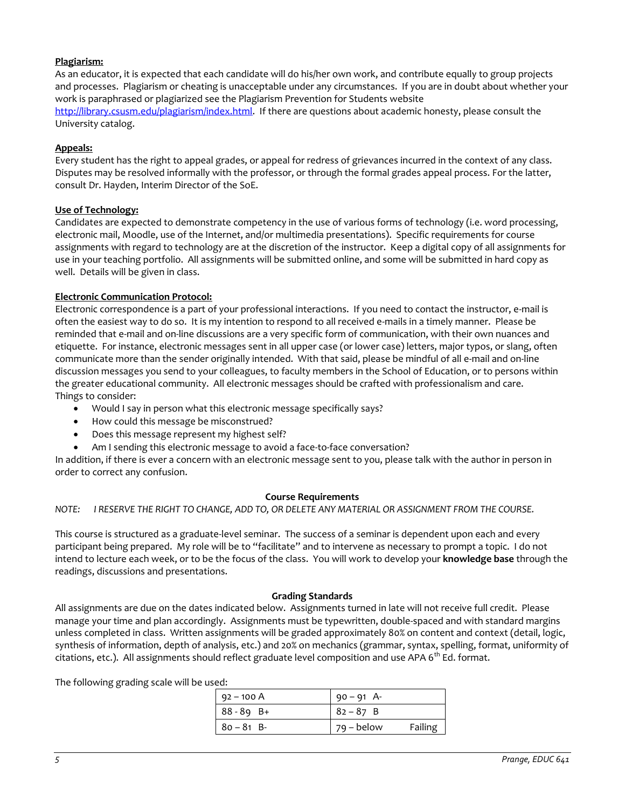# **Plagiarism:**

As an educator, it is expected that each candidate will do his/her own work, and contribute equally to group projects and processes. Plagiarism or cheating is unacceptable under any circumstances. If you are in doubt about whether your work is paraphrased or plagiarized see the Plagiarism Prevention for Students website [http://library.csusm.edu/plagiarism/index.html.](http://library.csusm.edu/plagiarism/index.html) If there are questions about academic honesty, please consult the University catalog.

## **Appeals:**

Every student has the right to appeal grades, or appeal for redress of grievances incurred in the context of any class. Disputes may be resolved informally with the professor, or through the formal grades appeal process. For the latter, consult Dr. Hayden, Interim Director of the SoE.

## **Use of Technology:**

Candidates are expected to demonstrate competency in the use of various forms of technology (i.e. word processing, electronic mail, Moodle, use of the Internet, and/or multimedia presentations). Specific requirements for course assignments with regard to technology are at the discretion of the instructor. Keep a digital copy of all assignments for use in your teaching portfolio. All assignments will be submitted online, and some will be submitted in hard copy as well. Details will be given in class.

# **Electronic Communication Protocol:**

Electronic correspondence is a part of your professional interactions. If you need to contact the instructor, e-mail is often the easiest way to do so. It is my intention to respond to all received e-mails in a timely manner. Please be reminded that e-mail and on-line discussions are a very specific form of communication, with their own nuances and etiquette. For instance, electronic messages sent in all upper case (or lower case) letters, major typos, or slang, often communicate more than the sender originally intended. With that said, please be mindful of all e-mail and on-line discussion messages you send to your colleagues, to faculty members in the School of Education, or to persons within the greater educational community. All electronic messages should be crafted with professionalism and care. Things to consider:

- Would I say in person what this electronic message specifically says?
- How could this message be misconstrued?
- Does this message represent my highest self?
- Am I sending this electronic message to avoid a face-to-face conversation?

In addition, if there is ever a concern with an electronic message sent to you, please talk with the author in person in order to correct any confusion.

## **Course Requirements**

*NOTE: I RESERVE THE RIGHT TO CHANGE, ADD TO, OR DELETE ANY MATERIAL OR ASSIGNMENT FROM THE COURSE.*

This course is structured as a graduate-level seminar. The success of a seminar is dependent upon each and every participant being prepared. My role will be to "facilitate" and to intervene as necessary to prompt a topic. I do not intend to lecture each week, or to be the focus of the class. You will work to develop your **knowledge base** through the readings, discussions and presentations.

## **Grading Standards**

All assignments are due on the dates indicated below. Assignments turned in late will not receive full credit. Please manage your time and plan accordingly. Assignments must be typewritten, double-spaced and with standard margins unless completed in class. Written assignments will be graded approximately 80% on content and context (detail, logic, synthesis of information, depth of analysis, etc.) and 20% on mechanics (grammar, syntax, spelling, format, uniformity of citations, etc.). All assignments should reflect graduate level composition and use APA  $6^{th}$  Ed. format.

The following grading scale will be used:

| $92 - 100 A$<br>$90 - 91$ A- |         |
|------------------------------|---------|
|                              |         |
| $88 - 89$ B+<br>$82 - 87$ B  |         |
| $80 - 81 B$<br>79 – below    | Failing |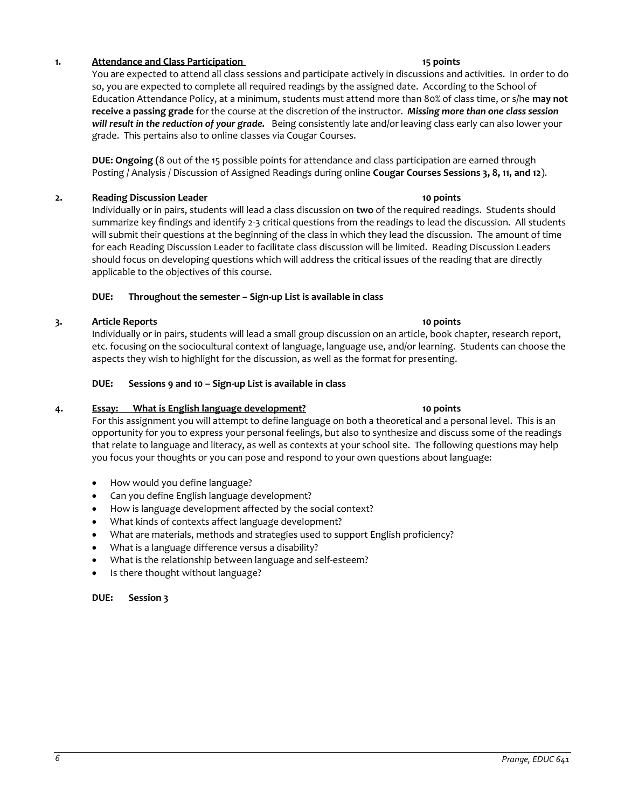- 
- 
- 

# **DUE: Session 3**

# **1. Attendance and Class Participation** 15 **points** 15 points

You are expected to attend all class sessions and participate actively in discussions and activities. In order to do so, you are expected to complete all required readings by the assigned date. According to the School of Education Attendance Policy, at a minimum, students must attend more than 80% of class time, or s/he **may not receive a passing grade** for the course at the discretion of the instructor. *Missing more than one class session will result in the reduction of your grade.* Being consistently late and/or leaving class early can also lower your grade. This pertains also to online classes via Cougar Courses.

**DUE: Ongoing (**8 out of the 15 possible points for attendance and class participation are earned through Posting / Analysis / Discussion of Assigned Readings during online **Cougar Courses Sessions 3, 8, 11, and 12**).

# **2. Reading Discussion Leader 10 points**

Individually or in pairs, students will lead a class discussion on **two** of the required readings. Students should summarize key findings and identify 2-3 critical questions from the readings to lead the discussion. All students will submit their questions at the beginning of the class in which they lead the discussion. The amount of time for each Reading Discussion Leader to facilitate class discussion will be limited. Reading Discussion Leaders should focus on developing questions which will address the critical issues of the reading that are directly applicable to the objectives of this course.

# **DUE: Throughout the semester – Sign-up List is available in class**

# **3. Article Reports 10 points**

Individually or in pairs, students will lead a small group discussion on an article, book chapter, research report, etc. focusing on the sociocultural context of language, language use, and/or learning. Students can choose the aspects they wish to highlight for the discussion, as well as the format for presenting.

# **DUE: Sessions 9 and 10 – Sign-up List is available in class**

# **4. Essay: What is English language development? 10 points**

For this assignment you will attempt to define language on both a theoretical and a personal level. This is an opportunity for you to express your personal feelings, but also to synthesize and discuss some of the readings that relate to language and literacy, as well as contexts at your school site. The following questions may help you focus your thoughts or you can pose and respond to your own questions about language:

- How would you define language?
- Can you define English language development?
- How is language development affected by the social context?
- What kinds of contexts affect language development?
- What are materials, methods and strategies used to support English proficiency?
- What is a language difference versus a disability?
- What is the relationship between language and self-esteem?
- Is there thought without language?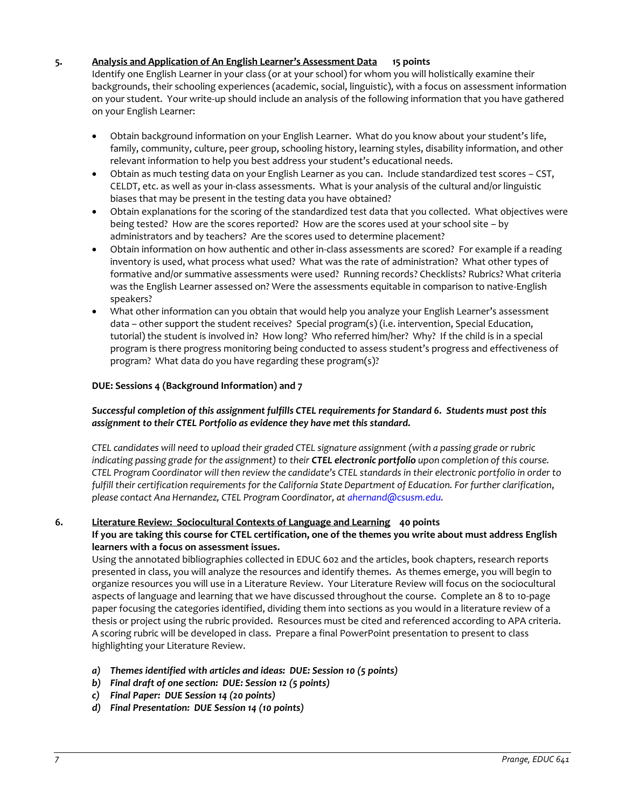# **5. Analysis and Application of An English Learner's Assessment Data 15 points**

Identify one English Learner in your class (or at your school) for whom you will holistically examine their backgrounds, their schooling experiences (academic, social, linguistic), with a focus on assessment information on your student. Your write-up should include an analysis of the following information that you have gathered on your English Learner:

- Obtain background information on your English Learner. What do you know about your student's life, family, community, culture, peer group, schooling history, learning styles, disability information, and other relevant information to help you best address your student's educational needs.
- Obtain as much testing data on your English Learner as you can. Include standardized test scores CST, CELDT, etc. as well as your in-class assessments. What is your analysis of the cultural and/or linguistic biases that may be present in the testing data you have obtained?
- Obtain explanations for the scoring of the standardized test data that you collected. What objectives were being tested? How are the scores reported? How are the scores used at your school site – by administrators and by teachers? Are the scores used to determine placement?
- Obtain information on how authentic and other in-class assessments are scored? For example if a reading inventory is used, what process what used? What was the rate of administration? What other types of formative and/or summative assessments were used? Running records? Checklists? Rubrics? What criteria was the English Learner assessed on? Were the assessments equitable in comparison to native-English speakers?
- What other information can you obtain that would help you analyze your English Learner's assessment data – other support the student receives? Special program(s) (i.e. intervention, Special Education, tutorial) the student is involved in? How long? Who referred him/her? Why? If the child is in a special program is there progress monitoring being conducted to assess student's progress and effectiveness of program? What data do you have regarding these program(s)?

# **DUE: Sessions 4 (Background Information) and 7**

# *Successful completion of this assignment fulfills CTEL requirements for Standard 6. Students must post this assignment to their CTEL Portfolio as evidence they have met this standard.*

*CTEL candidates will need to upload their graded CTEL signature assignment (with a passing grade or rubric indicating passing grade for the assignment) to their CTEL electronic portfolio upon completion of this course. CTEL Program Coordinator will then review the candidate's CTEL standards in their electronic portfolio in order to fulfill their certification requirements for the California State Department of Education. For further clarification*, *please contact Ana Hernandez, CTEL Program Coordinator, a[t ahernand@csusm.edu.](mailto:ahernand@csusm.edu)*

## **6. Literature Review: Sociocultural Contexts of Language and Learning 40 points**

# **If you are taking this course for CTEL certification, one of the themes you write about must address English learners with a focus on assessment issues.**

Using the annotated bibliographies collected in EDUC 602 and the articles, book chapters, research reports presented in class, you will analyze the resources and identify themes. As themes emerge, you will begin to organize resources you will use in a Literature Review. Your Literature Review will focus on the sociocultural aspects of language and learning that we have discussed throughout the course. Complete an 8 to 10-page paper focusing the categories identified, dividing them into sections as you would in a literature review of a thesis or project using the rubric provided. Resources must be cited and referenced according to APA criteria. A scoring rubric will be developed in class. Prepare a final PowerPoint presentation to present to class highlighting your Literature Review.

- *a) Themes identified with articles and ideas: DUE: Session 10 (5 points)*
- *b) Final draft of one section: DUE: Session 12 (5 points)*
- *c) Final Paper: DUE Session 14 (20 points)*
- *d) Final Presentation: DUE Session 14 (10 points)*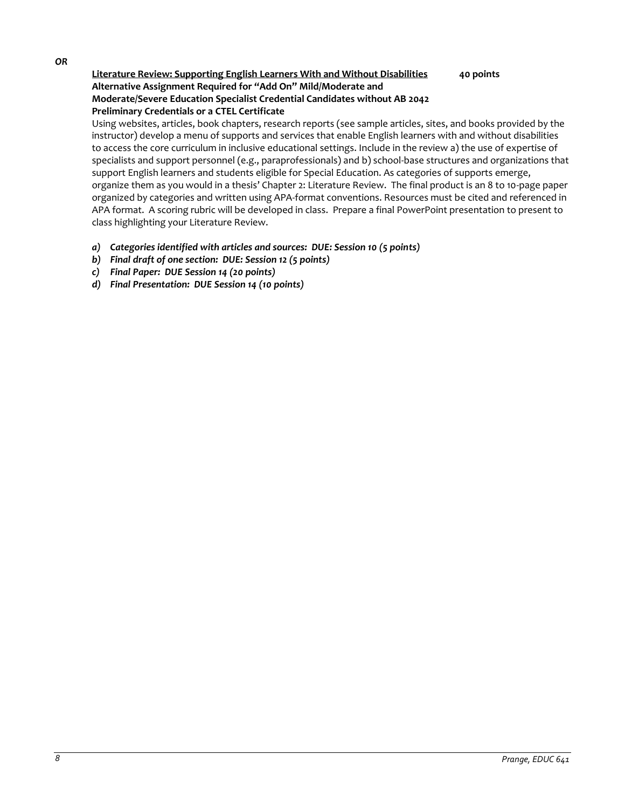#### *OR*

# **Literature Review: Supporting English Learners With and Without Disabilities 40 points Alternative Assignment Required for "Add On" Mild/Moderate and Moderate/Severe Education Specialist Credential Candidates without AB 2042 Preliminary Credentials or a CTEL Certificate**

Using websites, articles, book chapters, research reports (see sample articles, sites, and books provided by the instructor) develop a menu of supports and services that enable English learners with and without disabilities to access the core curriculum in inclusive educational settings. Include in the review a) the use of expertise of specialists and support personnel (e.g., paraprofessionals) and b) school-base structures and organizations that support English learners and students eligible for Special Education. As categories of supports emerge, organize them as you would in a thesis' Chapter 2: Literature Review. The final product is an 8 to 10-page paper organized by categories and written using APA-format conventions. Resources must be cited and referenced in APA format. A scoring rubric will be developed in class. Prepare a final PowerPoint presentation to present to class highlighting your Literature Review.

- *a) Categories identified with articles and sources: DUE: Session 10 (5 points)*
- *b) Final draft of one section: DUE: Session 12 (5 points)*
- *c) Final Paper: DUE Session 14 (20 points)*
- *d) Final Presentation: DUE Session 14 (10 points)*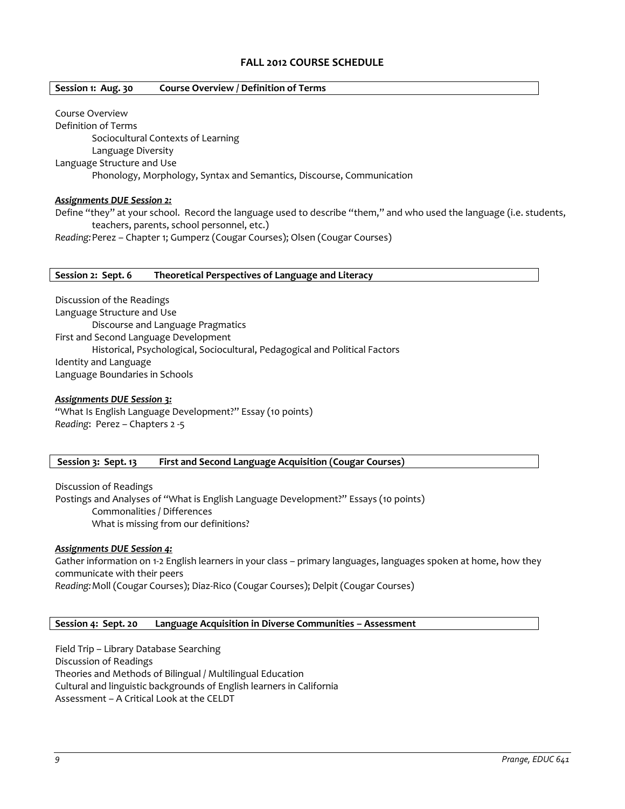# **FALL 2012 COURSE SCHEDULE**

### **Session 1: Aug. 30 Course Overview / Definition of Terms**

Course Overview Definition of Terms Sociocultural Contexts of Learning Language Diversity Language Structure and Use Phonology, Morphology, Syntax and Semantics, Discourse, Communication

### *Assignments DUE Session 2:*

Define "they" at your school. Record the language used to describe "them," and who used the language (i.e. students, teachers, parents, school personnel, etc.)

*Reading:*Perez – Chapter 1; Gumperz (Cougar Courses); Olsen (Cougar Courses)

### **Session 2: Sept. 6 Theoretical Perspectives of Language and Literacy**

Discussion of the Readings Language Structure and Use Discourse and Language Pragmatics First and Second Language Development Historical, Psychological, Sociocultural, Pedagogical and Political Factors Identity and Language Language Boundaries in Schools

### *Assignments DUE Session 3:*

"What Is English Language Development?" Essay (10 points) *Reading*: Perez – Chapters 2 -5

## **Session 3: Sept. 13 First and Second Language Acquisition (Cougar Courses)**

Discussion of Readings Postings and Analyses of "What is English Language Development?" Essays (10 points) Commonalities / Differences What is missing from our definitions?

#### *Assignments DUE Session 4:*

Gather information on 1-2 English learners in your class – primary languages, languages spoken at home, how they communicate with their peers *Reading:*Moll (Cougar Courses); Diaz-Rico (Cougar Courses); Delpit (Cougar Courses)

# **Session 4: Sept. 20 Language Acquisition in Diverse Communities – Assessment**

Field Trip – Library Database Searching Discussion of Readings Theories and Methods of Bilingual / Multilingual Education Cultural and linguistic backgrounds of English learners in California Assessment – A Critical Look at the CELDT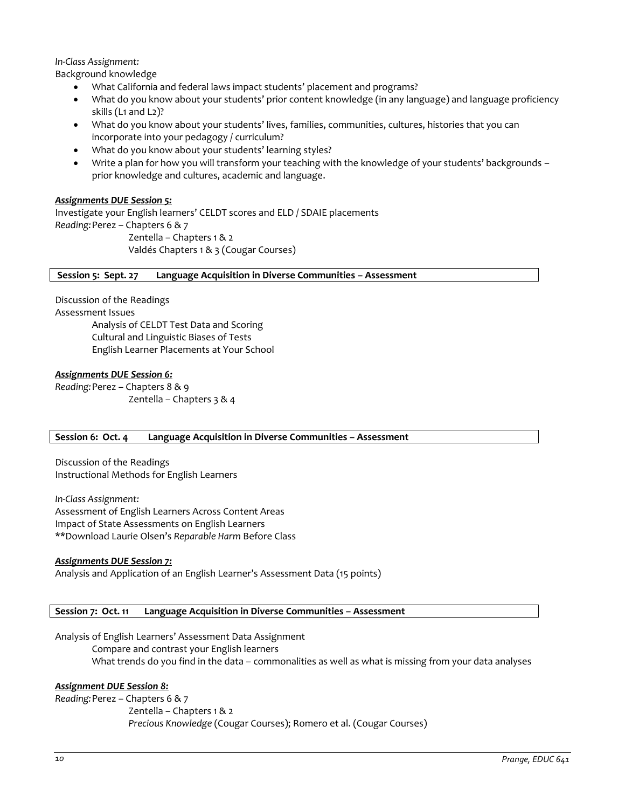## *In-Class Assignment:*

Background knowledge

- What California and federal laws impact students' placement and programs?
- What do you know about your students' prior content knowledge (in any language) and language proficiency skills (L1 and L2)?
- What do you know about your students' lives, families, communities, cultures, histories that you can incorporate into your pedagogy / curriculum?
- What do you know about your students' learning styles?
- Write a plan for how you will transform your teaching with the knowledge of your students' backgrounds prior knowledge and cultures, academic and language.

## *Assignments DUE Session 5:*

Investigate your English learners' CELDT scores and ELD / SDAIE placements *Reading:*Perez – Chapters 6 & 7 Zentella – Chapters 1 & 2 Valdés Chapters 1 & 3 (Cougar Courses)

## **Session 5: Sept. 27 Language Acquisition in Diverse Communities – Assessment**

Discussion of the Readings Assessment Issues Analysis of CELDT Test Data and Scoring Cultural and Linguistic Biases of Tests English Learner Placements at Your School

## *Assignments DUE Session 6:*

*Reading:*Perez – Chapters 8 & 9 Zentella – Chapters 3 & 4

## **Session 6: Oct. 4 Language Acquisition in Diverse Communities – Assessment**

Discussion of the Readings Instructional Methods for English Learners

*In-Class Assignment:* Assessment of English Learners Across Content Areas Impact of State Assessments on English Learners \*\*Download Laurie Olsen's *Reparable Harm* Before Class

## *Assignments DUE Session 7:*

Analysis and Application of an English Learner's Assessment Data (15 points)

## **Session 7: Oct. 11 Language Acquisition in Diverse Communities – Assessment**

Analysis of English Learners' Assessment Data Assignment Compare and contrast your English learners What trends do you find in the data – commonalities as well as what is missing from your data analyses

## *Assignment DUE Session 8:*

*Reading:*Perez – Chapters 6 & 7

Zentella – Chapters 1 & 2

*Precious Knowledge* (Cougar Courses); Romero et al. (Cougar Courses)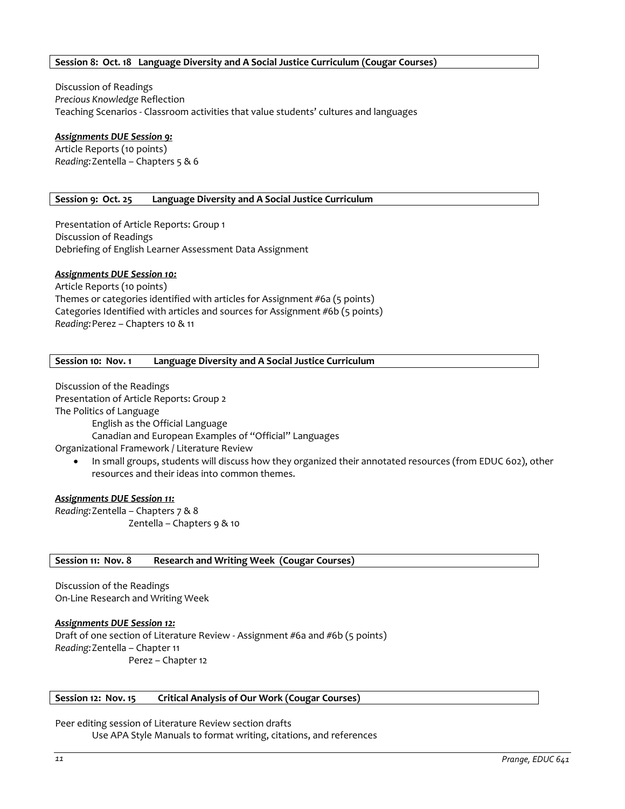## **Session 8: Oct. 18 Language Diversity and A Social Justice Curriculum (Cougar Courses)**

Discussion of Readings *Precious Knowledge* Reflection Teaching Scenarios - Classroom activities that value students' cultures and languages

# *Assignments DUE Session 9:*

Article Reports (10 points) *Reading:*Zentella – Chapters 5 & 6

## **Session 9: Oct. 25 Language Diversity and A Social Justice Curriculum**

Presentation of Article Reports: Group 1 Discussion of Readings Debriefing of English Learner Assessment Data Assignment

## *Assignments DUE Session 10:*

Article Reports (10 points) Themes or categories identified with articles for Assignment #6a (5 points) Categories Identified with articles and sources for Assignment #6b (5 points) *Reading:*Perez – Chapters 10 & 11

#### **Session 10: Nov. 1 Language Diversity and A Social Justice Curriculum**

Discussion of the Readings Presentation of Article Reports: Group 2 The Politics of Language

English as the Official Language

Canadian and European Examples of "Official" Languages

Organizational Framework / Literature Review

 In small groups, students will discuss how they organized their annotated resources (from EDUC 602), other resources and their ideas into common themes.

#### *Assignments DUE Session 11:*

*Reading:*Zentella – Chapters 7 & 8 Zentella – Chapters 9 & 10

#### **Session 11: Nov. 8 Research and Writing Week (Cougar Courses)**

Discussion of the Readings On-Line Research and Writing Week

*Assignments DUE Session 12:* Draft of one section of Literature Review - Assignment #6a and #6b (5 points) *Reading:*Zentella – Chapter 11 Perez – Chapter 12

#### **Session 12: Nov. 15 Critical Analysis of Our Work (Cougar Courses)**

Peer editing session of Literature Review section drafts Use APA Style Manuals to format writing, citations, and references